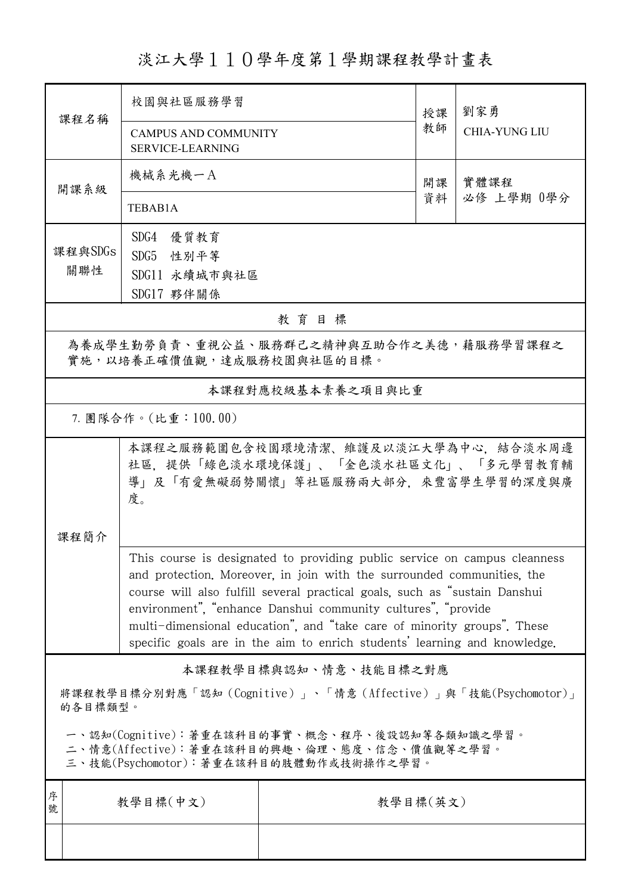淡江大學110學年度第1學期課程教學計畫表

| 課程名稱                                                                                                                                   | 校園與社區服務學習                                                                                                                                                                                                                                                                                                                                                                                                                                                 |                   | 授課 | 劉家勇                  |  |  |  |
|----------------------------------------------------------------------------------------------------------------------------------------|-----------------------------------------------------------------------------------------------------------------------------------------------------------------------------------------------------------------------------------------------------------------------------------------------------------------------------------------------------------------------------------------------------------------------------------------------------------|-------------------|----|----------------------|--|--|--|
|                                                                                                                                        | <b>CAMPUS AND COMMUNITY</b><br><b>SERVICE-LEARNING</b>                                                                                                                                                                                                                                                                                                                                                                                                    |                   | 教師 | <b>CHIA-YUNG LIU</b> |  |  |  |
| 開課系級                                                                                                                                   | 機械系光機一A                                                                                                                                                                                                                                                                                                                                                                                                                                                   |                   | 開課 | 實體課程<br>必修 上學期 0學分   |  |  |  |
|                                                                                                                                        | TEBAB1A                                                                                                                                                                                                                                                                                                                                                                                                                                                   |                   | 資料 |                      |  |  |  |
|                                                                                                                                        | SDG4 優質教育                                                                                                                                                                                                                                                                                                                                                                                                                                                 |                   |    |                      |  |  |  |
| 課程與SDGs                                                                                                                                | SDG5 性別平等                                                                                                                                                                                                                                                                                                                                                                                                                                                 |                   |    |                      |  |  |  |
| 關聯性                                                                                                                                    | SDG11 永續城市與社區                                                                                                                                                                                                                                                                                                                                                                                                                                             |                   |    |                      |  |  |  |
| SDG17 夥伴關係<br>教育目標                                                                                                                     |                                                                                                                                                                                                                                                                                                                                                                                                                                                           |                   |    |                      |  |  |  |
|                                                                                                                                        | 為養成學生勤勞負責、重視公益、服務群己之精神與互助合作之美德,藉服務學習課程之                                                                                                                                                                                                                                                                                                                                                                                                                   |                   |    |                      |  |  |  |
|                                                                                                                                        | 實施,以培養正確價值觀,達成服務校園與社區的目標。                                                                                                                                                                                                                                                                                                                                                                                                                                 |                   |    |                      |  |  |  |
|                                                                                                                                        |                                                                                                                                                                                                                                                                                                                                                                                                                                                           | 本課程對應校級基本素養之項目與比重 |    |                      |  |  |  |
| 7. 團隊合作。(比重:100.00)                                                                                                                    |                                                                                                                                                                                                                                                                                                                                                                                                                                                           |                   |    |                      |  |  |  |
|                                                                                                                                        | 本課程之服務範圍包含校園環境清潔、維護及以淡江大學為中心,結合淡水周邊<br>社區,提供「綠色淡水環境保護」、「金色淡水社區文化」、「多元學習教育輔<br>導」及「有愛無礙弱勢關懷」等社區服務兩大部分,來豐富學生學習的深度與廣<br>度。                                                                                                                                                                                                                                                                                                                                   |                   |    |                      |  |  |  |
| 课程简介                                                                                                                                   |                                                                                                                                                                                                                                                                                                                                                                                                                                                           |                   |    |                      |  |  |  |
|                                                                                                                                        | This course is designated to providing public service on campus cleanness<br>and protection. Moreover, in join with the surrounded communities, the<br>course will also fulfill several practical goals, such as "sustain Danshui<br>environment", "enhance Danshui community cultures", "provide<br>multi-dimensional education", and "take care of minority groups". These<br>specific goals are in the aim to enrich students' learning and knowledge. |                   |    |                      |  |  |  |
| 本課程教學目標與認知、情意、技能目標之對應                                                                                                                  |                                                                                                                                                                                                                                                                                                                                                                                                                                                           |                   |    |                      |  |  |  |
| 將課程教學目標分別對應「認知(Cognitive)」、「情意(Affective)」與「技能(Psychomotor)」<br>的各目標類型。                                                                |                                                                                                                                                                                                                                                                                                                                                                                                                                                           |                   |    |                      |  |  |  |
| 一、認知(Cognitive):著重在該科目的事實、概念、程序、後設認知等各類知識之學習。<br>二、情意(Affective):著重在該科目的興趣、倫理、態度、信念、價值觀等之學習。<br>三、技能(Psychomotor):著重在該科目的肢體動作或技術操作之學習。 |                                                                                                                                                                                                                                                                                                                                                                                                                                                           |                   |    |                      |  |  |  |
| 序<br>號                                                                                                                                 | 教學目標(中文)                                                                                                                                                                                                                                                                                                                                                                                                                                                  | 教學目標(英文)          |    |                      |  |  |  |
|                                                                                                                                        |                                                                                                                                                                                                                                                                                                                                                                                                                                                           |                   |    |                      |  |  |  |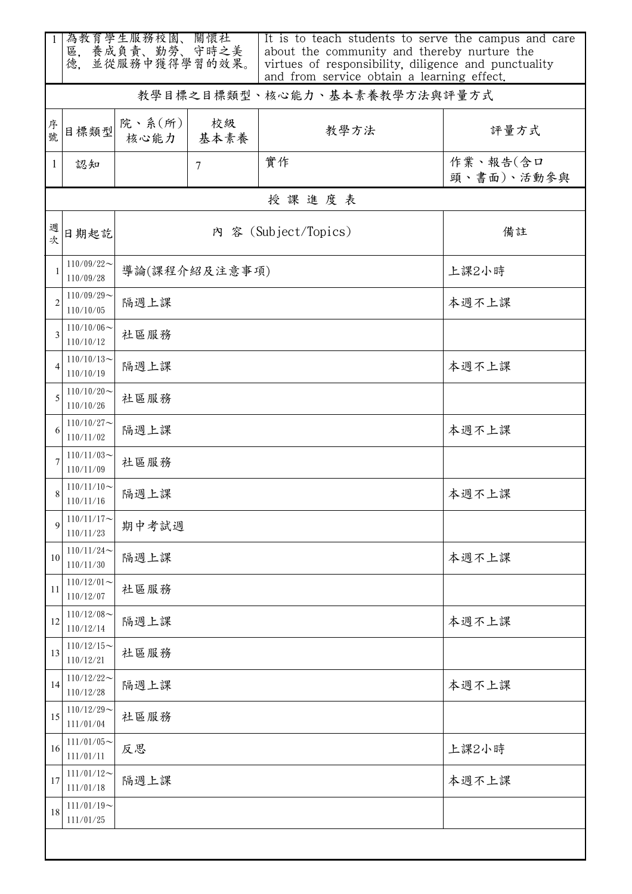| 1            | 為教育學生服務校園、關懷社<br>區, 養成負責、勤勞、守時之美<br>並從服務中獲得學習的效果。<br>德. |                |            | It is to teach students to serve the campus and care<br>about the community and thereby nurture the<br>virtues of responsibility, diligence and punctuality<br>and from service obtain a learning effect. |                        |  |  |
|--------------|---------------------------------------------------------|----------------|------------|-----------------------------------------------------------------------------------------------------------------------------------------------------------------------------------------------------------|------------------------|--|--|
|              | 教學目標之目標類型、核心能力、基本素養教學方法與評量方式                            |                |            |                                                                                                                                                                                                           |                        |  |  |
| 序號           | 目標類型                                                    | 院、系(所)<br>核心能力 | 校級<br>基本素養 | 教學方法                                                                                                                                                                                                      | 評量方式                   |  |  |
| $\mathbf{1}$ | 認知                                                      |                | $\tau$     | 實作                                                                                                                                                                                                        | 作業、報告(含口<br>頭、書面)、活動參與 |  |  |
|              | 授課進度表                                                   |                |            |                                                                                                                                                                                                           |                        |  |  |
| 週次           | 日期起訖                                                    |                |            | 內 容 (Subject/Topics)                                                                                                                                                                                      | 備註                     |  |  |
|              | $110/09/22$ ~<br>110/09/28                              | 導論(課程介紹及注意事項)  |            |                                                                                                                                                                                                           | 上課2小時                  |  |  |
| 2            | $110/09/29$ ~<br>110/10/05                              | 隔週上課           |            |                                                                                                                                                                                                           | 本週不上課                  |  |  |
| 3            | $110/10/06 \sim$<br>110/10/12                           | 社區服務           |            |                                                                                                                                                                                                           |                        |  |  |
|              | $110/10/13$ ~<br>110/10/19                              | 隔週上課           |            |                                                                                                                                                                                                           | 本週不上課                  |  |  |
| 5            | $110/10/20$ ~<br>110/10/26                              | 社區服務           |            |                                                                                                                                                                                                           |                        |  |  |
| 6            | $110/10/27$ ~<br>110/11/02                              | 隔週上課           |            |                                                                                                                                                                                                           | 本週不上課                  |  |  |
|              | $110/11/03$ ~<br>110/11/09                              | 社區服務           |            |                                                                                                                                                                                                           |                        |  |  |
|              | $110/11/10$ ~<br>110/11/16                              | 隔週上課           |            |                                                                                                                                                                                                           | 本週不上課                  |  |  |
| 9            | $110/11/17$ ~<br>110/11/23                              | 期中考試週          |            |                                                                                                                                                                                                           |                        |  |  |
| 10           | $110/11/24$ ~<br>110/11/30                              | 隔週上課           |            |                                                                                                                                                                                                           | 本週不上課                  |  |  |
| 11           | $110/12/01$ ~<br>110/12/07                              | 社區服務           |            |                                                                                                                                                                                                           |                        |  |  |
| 12           | $110/12/08$ ~<br>110/12/14                              | 隔週上課           |            |                                                                                                                                                                                                           | 本週不上課                  |  |  |
| 13           | $110/12/15$ ~<br>110/12/21                              | 社區服務           |            |                                                                                                                                                                                                           |                        |  |  |
| 14           | $110/12/22$ ~<br>110/12/28                              | 隔週上課           |            |                                                                                                                                                                                                           | 本週不上課                  |  |  |
| 15           | $110/12/29$ ~<br>111/01/04                              | 社區服務           |            |                                                                                                                                                                                                           |                        |  |  |
| 16           | $111/01/05$ ~<br>111/01/11                              | 反思             |            |                                                                                                                                                                                                           | 上課2小時                  |  |  |
| 17           | $111/01/12$ ~<br>111/01/18                              | 隔週上課           |            |                                                                                                                                                                                                           | 本週不上課                  |  |  |
| 18           | $111/01/19$ ~<br>111/01/25                              |                |            |                                                                                                                                                                                                           |                        |  |  |
|              |                                                         |                |            |                                                                                                                                                                                                           |                        |  |  |